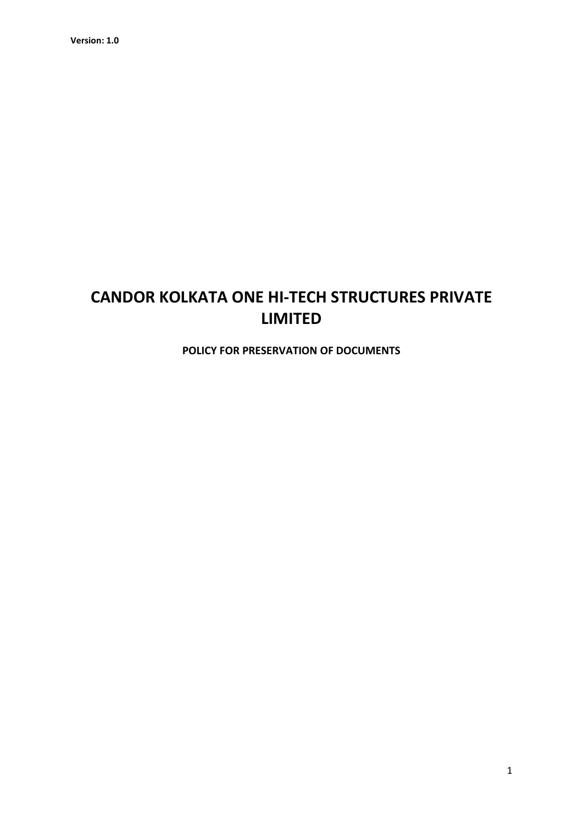# CANDOR KOLKATA ONE HI-TECH STRUCTURES PRIVATE LIMITED

POLICY FOR PRESERVATION OF DOCUMENTS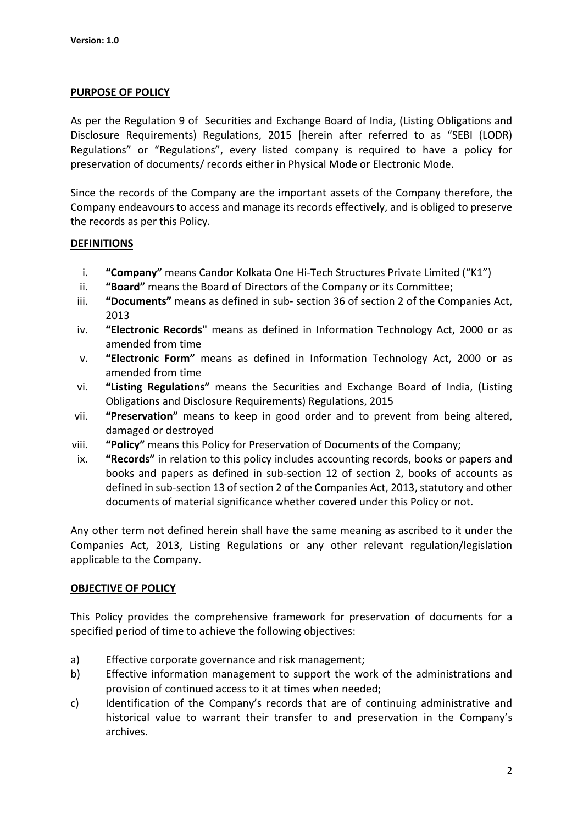#### PURPOSE OF POLICY

As per the Regulation 9 of Securities and Exchange Board of India, (Listing Obligations and Disclosure Requirements) Regulations, 2015 [herein after referred to as "SEBI (LODR) Regulations" or "Regulations", every listed company is required to have a policy for preservation of documents/ records either in Physical Mode or Electronic Mode.

Since the records of the Company are the important assets of the Company therefore, the Company endeavours to access and manage its records effectively, and is obliged to preserve the records as per this Policy.

#### **DEFINITIONS**

- i. "Company" means Candor Kolkata One Hi-Tech Structures Private Limited ("K1")
- ii. "Board" means the Board of Directors of the Company or its Committee;
- iii. "Documents" means as defined in sub- section 36 of section 2 of the Companies Act, 2013
- iv. "Electronic Records" means as defined in Information Technology Act, 2000 or as amended from time
- v. "Electronic Form" means as defined in Information Technology Act, 2000 or as amended from time
- vi. "Listing Regulations" means the Securities and Exchange Board of India, (Listing Obligations and Disclosure Requirements) Regulations, 2015
- vii. "Preservation" means to keep in good order and to prevent from being altered, damaged or destroyed
- viii. "Policy" means this Policy for Preservation of Documents of the Company;
- ix. "Records" in relation to this policy includes accounting records, books or papers and books and papers as defined in sub-section 12 of section 2, books of accounts as defined in sub-section 13 of section 2 of the Companies Act, 2013, statutory and other documents of material significance whether covered under this Policy or not.

Any other term not defined herein shall have the same meaning as ascribed to it under the Companies Act, 2013, Listing Regulations or any other relevant regulation/legislation applicable to the Company.

## OBJECTIVE OF POLICY

This Policy provides the comprehensive framework for preservation of documents for a specified period of time to achieve the following objectives:

- a) Effective corporate governance and risk management;
- b) Effective information management to support the work of the administrations and provision of continued access to it at times when needed;
- c) Identification of the Company's records that are of continuing administrative and historical value to warrant their transfer to and preservation in the Company's archives.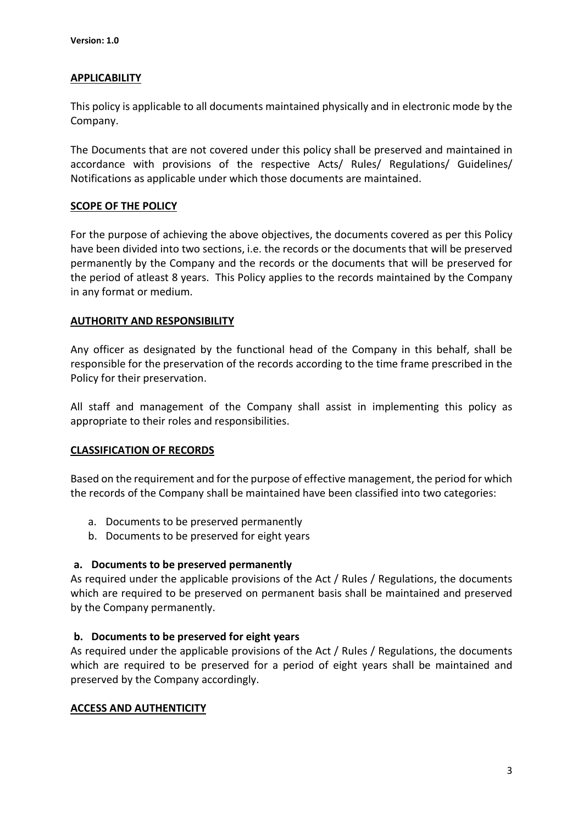## **APPLICABILITY**

This policy is applicable to all documents maintained physically and in electronic mode by the Company.

The Documents that are not covered under this policy shall be preserved and maintained in accordance with provisions of the respective Acts/ Rules/ Regulations/ Guidelines/ Notifications as applicable under which those documents are maintained.

## SCOPE OF THE POLICY

For the purpose of achieving the above objectives, the documents covered as per this Policy have been divided into two sections, i.e. the records or the documents that will be preserved permanently by the Company and the records or the documents that will be preserved for the period of atleast 8 years. This Policy applies to the records maintained by the Company in any format or medium.

## AUTHORITY AND RESPONSIBILITY

Any officer as designated by the functional head of the Company in this behalf, shall be responsible for the preservation of the records according to the time frame prescribed in the Policy for their preservation.

All staff and management of the Company shall assist in implementing this policy as appropriate to their roles and responsibilities.

## CLASSIFICATION OF RECORDS

Based on the requirement and for the purpose of effective management, the period for which the records of the Company shall be maintained have been classified into two categories:

- a. Documents to be preserved permanently
- b. Documents to be preserved for eight years

#### a. Documents to be preserved permanently

As required under the applicable provisions of the Act / Rules / Regulations, the documents which are required to be preserved on permanent basis shall be maintained and preserved by the Company permanently.

#### b. Documents to be preserved for eight years

As required under the applicable provisions of the Act / Rules / Regulations, the documents which are required to be preserved for a period of eight years shall be maintained and preserved by the Company accordingly.

#### ACCESS AND AUTHENTICITY